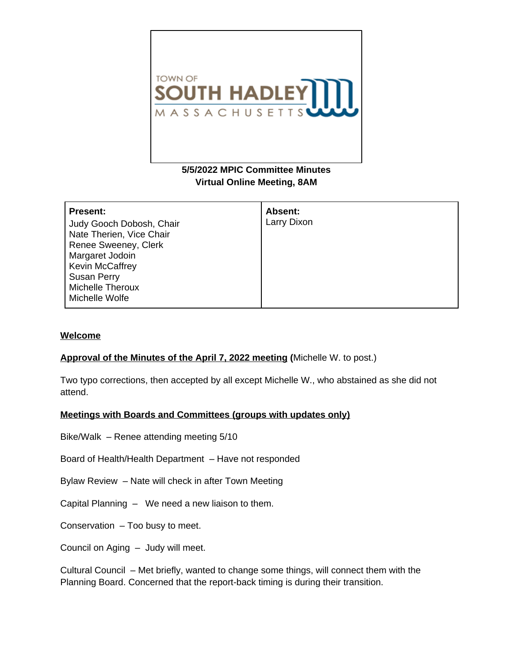

# **5/5/2022 MPIC Committee Minutes Virtual Online Meeting, 8AM**

| <b>Present:</b>          | Absent:     |
|--------------------------|-------------|
| Judy Gooch Dobosh, Chair | Larry Dixon |
| Nate Therien, Vice Chair |             |
| Renee Sweeney, Clerk     |             |
| Margaret Jodoin          |             |
| <b>Kevin McCaffrey</b>   |             |
| <b>Susan Perry</b>       |             |
| <b>Michelle Theroux</b>  |             |
| Michelle Wolfe           |             |

# **Welcome**

# **Approval of the Minutes of the April 7, 2022 meeting (**Michelle W. to post.)

Two typo corrections, then accepted by all except Michelle W., who abstained as she did not attend.

# **Meetings with Boards and Committees (groups with updates only)**

Bike/Walk – Renee attending meeting 5/10

Board of Health/Health Department – Have not responded

Bylaw Review – Nate will check in after Town Meeting

Capital Planning – We need a new liaison to them.

Conservation – Too busy to meet.

Council on Aging – Judy will meet.

Cultural Council – Met briefly, wanted to change some things, will connect them with the Planning Board. Concerned that the report-back timing is during their transition.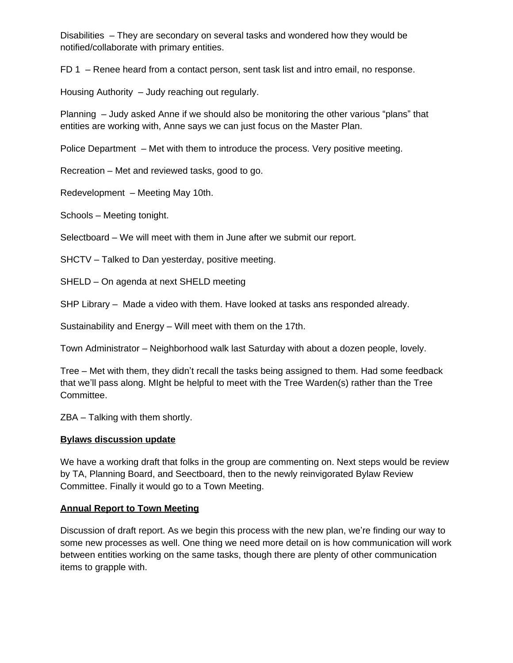Disabilities – They are secondary on several tasks and wondered how they would be notified/collaborate with primary entities.

FD 1 – Renee heard from a contact person, sent task list and intro email, no response.

Housing Authority – Judy reaching out regularly.

Planning – Judy asked Anne if we should also be monitoring the other various "plans" that entities are working with, Anne says we can just focus on the Master Plan.

Police Department – Met with them to introduce the process. Very positive meeting.

Recreation – Met and reviewed tasks, good to go.

Redevelopment – Meeting May 10th.

Schools – Meeting tonight.

Selectboard – We will meet with them in June after we submit our report.

SHCTV – Talked to Dan yesterday, positive meeting.

SHELD – On agenda at next SHELD meeting

SHP Library – Made a video with them. Have looked at tasks ans responded already.

Sustainability and Energy – Will meet with them on the 17th.

Town Administrator – Neighborhood walk last Saturday with about a dozen people, lovely.

Tree – Met with them, they didn't recall the tasks being assigned to them. Had some feedback that we'll pass along. MIght be helpful to meet with the Tree Warden(s) rather than the Tree Committee.

ZBA – Talking with them shortly.

#### **Bylaws discussion update**

We have a working draft that folks in the group are commenting on. Next steps would be review by TA, Planning Board, and Seectboard, then to the newly reinvigorated Bylaw Review Committee. Finally it would go to a Town Meeting.

# **Annual Report to Town Meeting**

Discussion of draft report. As we begin this process with the new plan, we're finding our way to some new processes as well. One thing we need more detail on is how communication will work between entities working on the same tasks, though there are plenty of other communication items to grapple with.